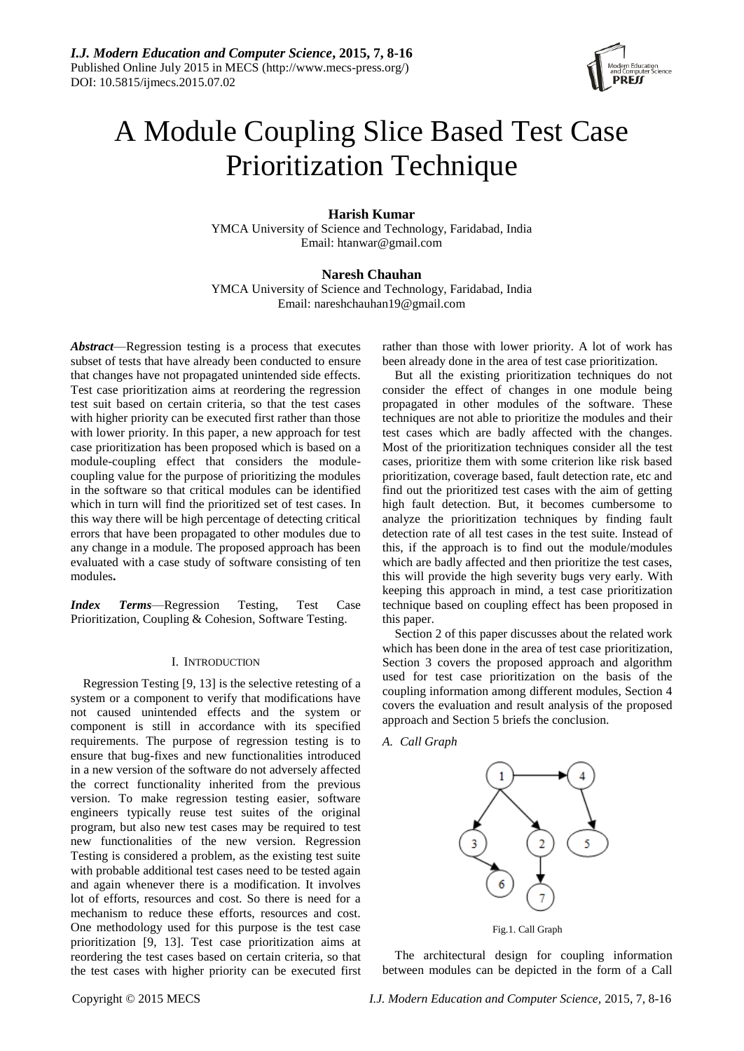

# A Module Coupling Slice Based Test Case Prioritization Technique

# **Harish Kumar**

YMCA University of Science and Technology, Faridabad, India Email: htanwar@gmail.com

# **Naresh Chauhan**

YMCA University of Science and Technology, Faridabad, India Email: nareshchauhan19@gmail.com

*Abstract*—Regression testing is a process that executes subset of tests that have already been conducted to ensure that changes have not propagated unintended side effects. Test case prioritization aims at reordering the regression test suit based on certain criteria, so that the test cases with higher priority can be executed first rather than those with lower priority. In this paper, a new approach for test case prioritization has been proposed which is based on a module-coupling effect that considers the modulecoupling value for the purpose of prioritizing the modules in the software so that critical modules can be identified which in turn will find the prioritized set of test cases. In this way there will be high percentage of detecting critical errors that have been propagated to other modules due to any change in a module. The proposed approach has been evaluated with a case study of software consisting of ten modules**.**

*Index Terms*—Regression Testing, Test Case Prioritization, Coupling & Cohesion, Software Testing.

#### I. INTRODUCTION

Regression Testing [9, 13] is the selective retesting of a system or a component to verify that modifications have not caused unintended effects and the system or component is still in accordance with its specified requirements. The purpose of regression testing is to ensure that bug-fixes and new functionalities introduced in a new version of the software do not adversely affected the correct functionality inherited from the previous version. To make regression testing easier, software engineers typically reuse test suites of the original program, but also new test cases may be required to test new functionalities of the new version. Regression Testing is considered a problem, as the existing test suite with probable additional test cases need to be tested again and again whenever there is a modification. It involves lot of efforts, resources and cost. So there is need for a mechanism to reduce these efforts, resources and cost. One methodology used for this purpose is the test case prioritization [9, 13]. Test case prioritization aims at reordering the test cases based on certain criteria, so that the test cases with higher priority can be executed first rather than those with lower priority. A lot of work has been already done in the area of test case prioritization.

But all the existing prioritization techniques do not consider the effect of changes in one module being propagated in other modules of the software. These techniques are not able to prioritize the modules and their test cases which are badly affected with the changes. Most of the prioritization techniques consider all the test cases, prioritize them with some criterion like risk based prioritization, coverage based, fault detection rate, etc and find out the prioritized test cases with the aim of getting high fault detection. But, it becomes cumbersome to analyze the prioritization techniques by finding fault detection rate of all test cases in the test suite. Instead of this, if the approach is to find out the module/modules which are badly affected and then prioritize the test cases, this will provide the high severity bugs very early. With keeping this approach in mind, a test case prioritization technique based on coupling effect has been proposed in this paper.

Section 2 of this paper discusses about the related work which has been done in the area of test case prioritization, Section 3 covers the proposed approach and algorithm used for test case prioritization on the basis of the coupling information among different modules, Section 4 covers the evaluation and result analysis of the proposed approach and Section 5 briefs the conclusion.

#### *A. Call Graph*



The architectural design for coupling information between modules can be depicted in the form of a Call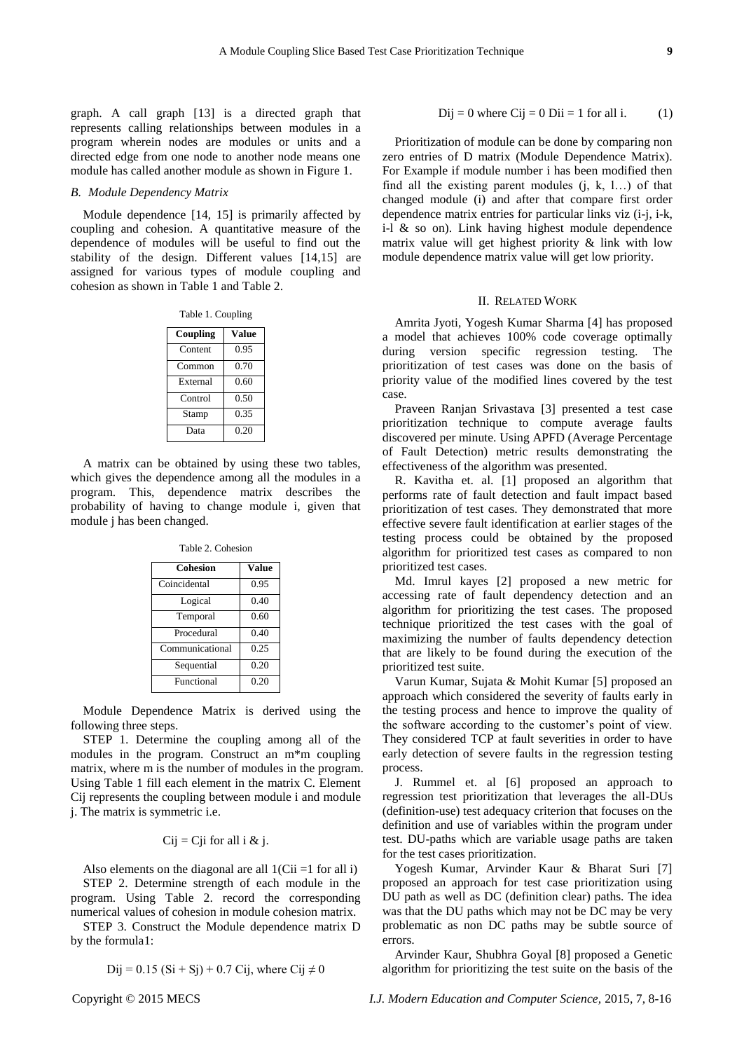graph. A call graph [13] is a directed graph that represents calling relationships between modules in a program wherein nodes are modules or units and a directed edge from one node to another node means one module has called another module as shown in Figure 1.

#### *B. Module Dependency Matrix*

Module dependence [14, 15] is primarily affected by coupling and cohesion. A quantitative measure of the dependence of modules will be useful to find out the stability of the design. Different values [14,15] are assigned for various types of module coupling and cohesion as shown in Table 1 and Table 2.

Table 1. Coupling

| Coupling | Value |
|----------|-------|
| Content  | 0.95  |
| Common   | 0.70  |
| External | 0.60  |
| Control  | 0.50  |
| Stamp    | 0.35  |
| Data     | 0.20  |

A matrix can be obtained by using these two tables, which gives the dependence among all the modules in a program. This, dependence matrix describes the probability of having to change module i, given that module j has been changed.

Table 2. Cohesion

| <b>Cohesion</b> | Value |
|-----------------|-------|
| Coincidental    | 0.95  |
| Logical         | 0.40  |
| Temporal        | 0.60  |
| Procedural      | 0.40  |
| Communicational | 0.25  |
| Sequential      | 0.20  |
| Functional      | 0.20  |

Module Dependence Matrix is derived using the following three steps.

STEP 1. Determine the coupling among all of the modules in the program. Construct an m\*m coupling matrix, where m is the number of modules in the program. Using Table 1 fill each element in the matrix C. Element Cij represents the coupling between module i and module j. The matrix is symmetric i.e.

## $Cij = Cji$  for all i & j.

Also elements on the diagonal are all  $1$ (Cii =1 for all i) STEP 2. Determine strength of each module in the program. Using Table 2. record the corresponding numerical values of cohesion in module cohesion matrix.

STEP 3. Construct the Module dependence matrix D by the formula1:

$$
Dij = 0.15
$$
 (Si + Sj) + 0.7 Cij, where Cij  $\neq 0$ 

 $Dij = 0$  where  $Cij = 0$   $Dii = 1$  for all i. (1)

Prioritization of module can be done by comparing non zero entries of D matrix (Module Dependence Matrix). For Example if module number i has been modified then find all the existing parent modules  $(i, k, l...)$  of that changed module (i) and after that compare first order dependence matrix entries for particular links viz (i-j, i-k, i-l  $\&$  so on). Link having highest module dependence matrix value will get highest priority & link with low module dependence matrix value will get low priority.

#### II. RELATED WORK

Amrita Jyoti, Yogesh Kumar Sharma [4] has proposed a model that achieves 100% code coverage optimally during version specific regression testing. The prioritization of test cases was done on the basis of priority value of the modified lines covered by the test case.

Praveen Ranjan Srivastava [3] presented a test case prioritization technique to compute average faults discovered per minute. Using APFD (Average Percentage of Fault Detection) metric results demonstrating the effectiveness of the algorithm was presented.

R. Kavitha et. al. [1] proposed an algorithm that performs rate of fault detection and fault impact based prioritization of test cases. They demonstrated that more effective severe fault identification at earlier stages of the testing process could be obtained by the proposed algorithm for prioritized test cases as compared to non prioritized test cases.

Md. Imrul kayes [2] proposed a new metric for accessing rate of fault dependency detection and an algorithm for prioritizing the test cases. The proposed technique prioritized the test cases with the goal of maximizing the number of faults dependency detection that are likely to be found during the execution of the prioritized test suite.

Varun Kumar, Sujata & Mohit Kumar [5] proposed an approach which considered the severity of faults early in the testing process and hence to improve the quality of the software according to the customer's point of view. They considered TCP at fault severities in order to have early detection of severe faults in the regression testing process.

J. Rummel et. al [6] proposed an approach to regression test prioritization that leverages the all-DUs (definition-use) test adequacy criterion that focuses on the definition and use of variables within the program under test. DU-paths which are variable usage paths are taken for the test cases prioritization.

Yogesh Kumar, Arvinder Kaur & Bharat Suri [7] proposed an approach for test case prioritization using DU path as well as DC (definition clear) paths. The idea was that the DU paths which may not be DC may be very problematic as non DC paths may be subtle source of errors.

Arvinder Kaur, Shubhra Goyal [8] proposed a Genetic algorithm for prioritizing the test suite on the basis of the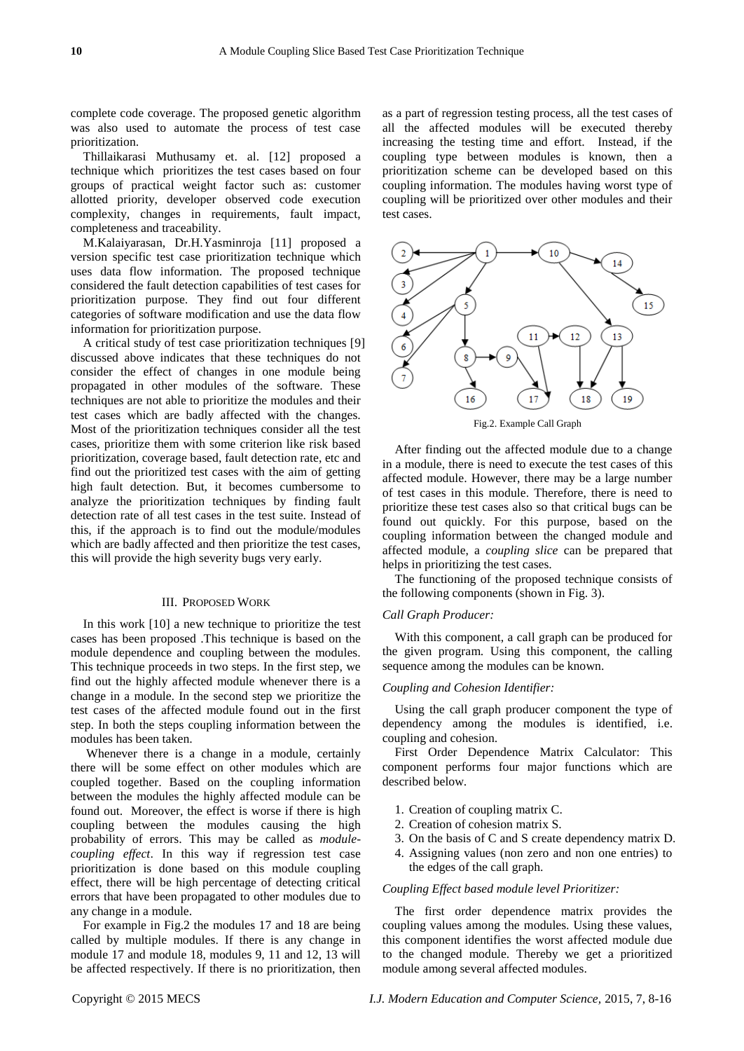complete code coverage. The proposed genetic algorithm was also used to automate the process of test case prioritization.

Thillaikarasi Muthusamy et. al. [12] proposed a technique which prioritizes the test cases based on four groups of practical weight factor such as: customer allotted priority, developer observed code execution complexity, changes in requirements, fault impact, completeness and traceability.

M.Kalaiyarasan, Dr.H.Yasminroja [11] proposed a version specific test case prioritization technique which uses data flow information. The proposed technique considered the fault detection capabilities of test cases for prioritization purpose. They find out four different categories of software modification and use the data flow information for prioritization purpose.

A critical study of test case prioritization techniques [9] discussed above indicates that these techniques do not consider the effect of changes in one module being propagated in other modules of the software. These techniques are not able to prioritize the modules and their test cases which are badly affected with the changes. Most of the prioritization techniques consider all the test cases, prioritize them with some criterion like risk based prioritization, coverage based, fault detection rate, etc and find out the prioritized test cases with the aim of getting high fault detection. But, it becomes cumbersome to analyze the prioritization techniques by finding fault detection rate of all test cases in the test suite. Instead of this, if the approach is to find out the module/modules which are badly affected and then prioritize the test cases, this will provide the high severity bugs very early.

#### III. PROPOSED WORK

In this work [10] a new technique to prioritize the test cases has been proposed .This technique is based on the module dependence and coupling between the modules. This technique proceeds in two steps. In the first step, we find out the highly affected module whenever there is a change in a module. In the second step we prioritize the test cases of the affected module found out in the first step. In both the steps coupling information between the modules has been taken.

Whenever there is a change in a module, certainly there will be some effect on other modules which are coupled together. Based on the coupling information between the modules the highly affected module can be found out. Moreover, the effect is worse if there is high coupling between the modules causing the high probability of errors. This may be called as *modulecoupling effect*. In this way if regression test case prioritization is done based on this module coupling effect, there will be high percentage of detecting critical errors that have been propagated to other modules due to any change in a module.

For example in Fig.2 the modules 17 and 18 are being called by multiple modules. If there is any change in module 17 and module 18, modules 9, 11 and 12, 13 will be affected respectively. If there is no prioritization, then as a part of regression testing process, all the test cases of all the affected modules will be executed thereby increasing the testing time and effort. Instead, if the coupling type between modules is known, then a prioritization scheme can be developed based on this coupling information. The modules having worst type of coupling will be prioritized over other modules and their test cases.



After finding out the affected module due to a change in a module, there is need to execute the test cases of this affected module. However, there may be a large number of test cases in this module. Therefore, there is need to prioritize these test cases also so that critical bugs can be found out quickly. For this purpose, based on the coupling information between the changed module and affected module, a *coupling slice* can be prepared that helps in prioritizing the test cases.

The functioning of the proposed technique consists of the following components (shown in Fig. 3).

#### *Call Graph Producer:*

With this component, a call graph can be produced for the given program. Using this component, the calling sequence among the modules can be known.

#### *Coupling and Cohesion Identifier:*

Using the call graph producer component the type of dependency among the modules is identified, i.e. coupling and cohesion.

First Order Dependence Matrix Calculator: This component performs four major functions which are described below.

- 1. Creation of coupling matrix C.
- 2. Creation of cohesion matrix S.
- 3. On the basis of C and S create dependency matrix D.
- 4. Assigning values (non zero and non one entries) to the edges of the call graph.

#### *Coupling Effect based module level Prioritizer:*

The first order dependence matrix provides the coupling values among the modules. Using these values, this component identifies the worst affected module due to the changed module. Thereby we get a prioritized module among several affected modules.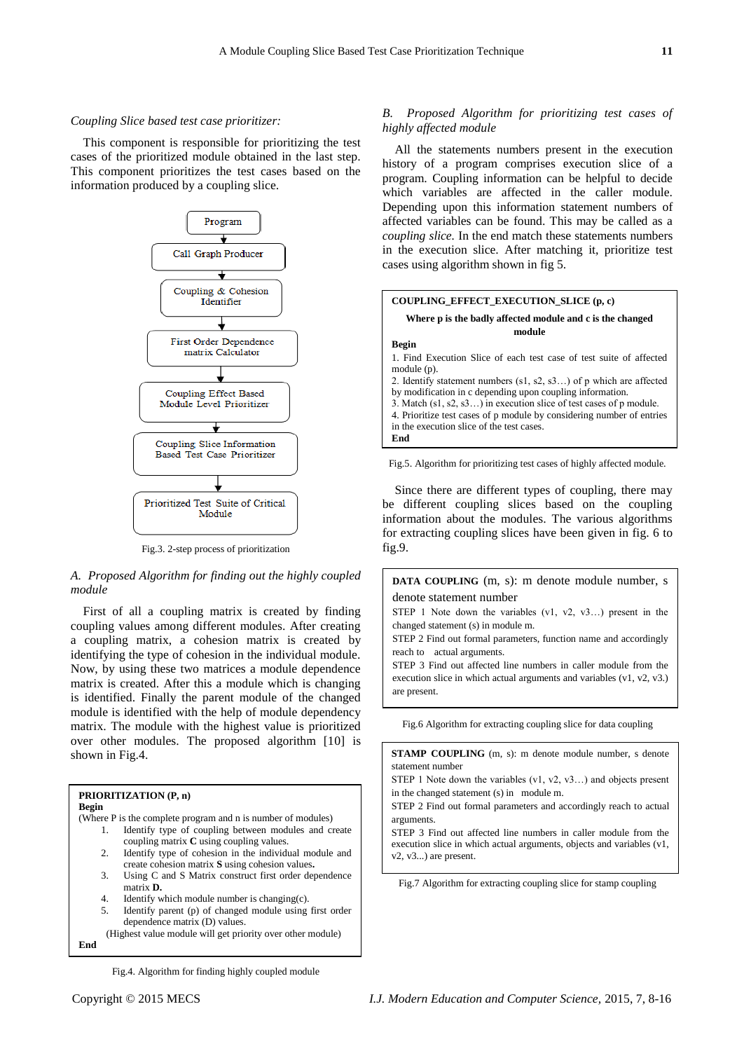#### *Coupling Slice based test case prioritizer:*

This component is responsible for prioritizing the test cases of the prioritized module obtained in the last step. This component prioritizes the test cases based on the information produced by a coupling slice.



Fig.3. 2-step process of prioritization

*A. Proposed Algorithm for finding out the highly coupled module*

First of all a coupling matrix is created by finding coupling values among different modules. After creating a coupling matrix, a cohesion matrix is created by identifying the type of cohesion in the individual module. Now, by using these two matrices a module dependence matrix is created. After this a module which is changing is identified. Finally the parent module of the changed module is identified with the help of module dependency matrix. The module with the highest value is prioritized over other modules. The proposed algorithm [10] is shown in Fig.4.



Fig.4. Algorithm for finding highly coupled module

#### *B. Proposed Algorithm for prioritizing test cases of highly affected module*

All the statements numbers present in the execution history of a program comprises execution slice of a program. Coupling information can be helpful to decide which variables are affected in the caller module. Depending upon this information statement numbers of affected variables can be found. This may be called as a *coupling slice.* In the end match these statements numbers in the execution slice. After matching it, prioritize test cases using algorithm shown in fig 5.



Fig.5. Algorithm for prioritizing test cases of highly affected module.

Since there are different types of coupling, there may be different coupling slices based on the coupling information about the modules. The various algorithms for extracting coupling slices have been given in fig. 6 to fig.9.

**DATA COUPLING** (m, s): m denote module number, s denote statement number

STEP 1 Note down the variables (v1, v2, v3…) present in the changed statement (s) in module m.

STEP 2 Find out formal parameters, function name and accordingly reach to actual arguments.

STEP 3 Find out affected line numbers in caller module from the execution slice in which actual arguments and variables (v1, v2, v3.) are present.

Fig.6 Algorithm for extracting coupling slice for data coupling

**STAMP COUPLING** (m, s): m denote module number, s denote statement number

STEP 1 Note down the variables (v1, v2, v3...) and objects present in the changed statement (s) in module m.

STEP 2 Find out formal parameters and accordingly reach to actual

STEP 3 Find out affected line numbers in caller module from the execution slice in which actual arguments, objects and variables (v1,

Fig.7 Algorithm for extracting coupling slice for stamp coupling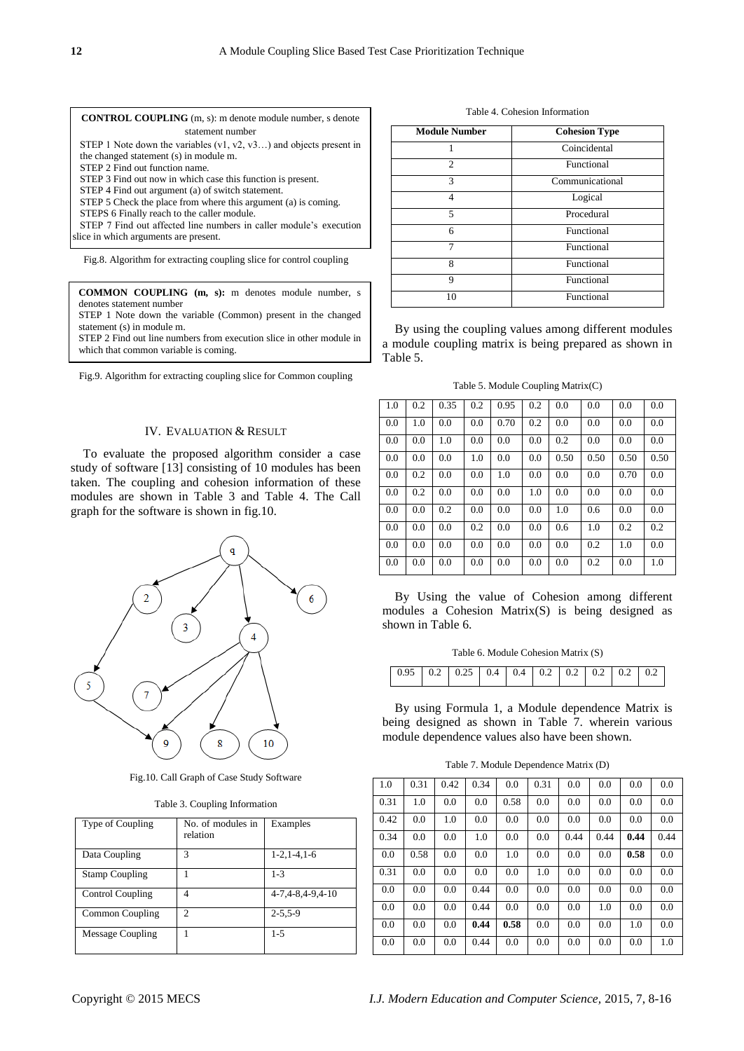| <b>CONTROL COUPLING</b> (m, s): m denote module number, s denote     |
|----------------------------------------------------------------------|
| statement number                                                     |
| STEP 1 Note down the variables $(v1, v2, v3)$ and objects present in |
| the changed statement (s) in module m.                               |
| STEP 2 Find out function name.                                       |
| STEP 3 Find out now in which case this function is present.          |
| STEP 4 Find out argument (a) of switch statement.                    |
| STEP 5 Check the place from where this argument (a) is coming.       |
| STEPS 6 Finally reach to the caller module.                          |

STEP 7 Find out affected line numbers in caller module's execution slice in which arguments are present.

Fig.8. Algorithm for extracting coupling slice for control coupling

| <b>COMMON COUPLING</b> (m, s): m denotes module number, s<br>denotes statement number<br>STEP 1 Note down the variable (Common) present in the changed |
|--------------------------------------------------------------------------------------------------------------------------------------------------------|
| statement (s) in module m.<br>STEP 2 Find out line numbers from execution slice in other module in<br>which that common variable is coming.            |

Fig.9. Algorithm for extracting coupling slice for Common coupling

# IV. EVALUATION & RESULT

To evaluate the proposed algorithm consider a case study of software [13] consisting of 10 modules has been taken. The coupling and cohesion information of these modules are shown in Table 3 and Table 4. The Call graph for the software is shown in fig.10.



Fig.10. Call Graph of Case Study Software

Table 3. Coupling Information

| Type of Coupling        | No. of modules in<br>relation | Examples         |
|-------------------------|-------------------------------|------------------|
| Data Coupling           | 3                             | $1-2, 1-4, 1-6$  |
| <b>Stamp Coupling</b>   |                               | $1 - 3$          |
| <b>Control Coupling</b> |                               | 4-7,4-8,4-9,4-10 |
| Common Coupling         | $\mathcal{D}$                 | $2 - 5.5 - 9$    |
| Message Coupling        |                               | $1 - 5$          |

Table 4. Cohesion Information

| <b>Module Number</b> | <b>Cohesion Type</b> |
|----------------------|----------------------|
|                      | Coincidental         |
| 2                    | Functional           |
| 3                    | Communicational      |
| 4                    | Logical              |
| 5                    | Procedural           |
| 6                    | Functional           |
| 7                    | Functional           |
| 8                    | Functional           |
| 9                    | Functional           |
| 10                   | Functional           |

By using the coupling values among different modules a module coupling matrix is being prepared as shown in Table 5.

Table 5. Module Coupling Matrix(C)

| $\vert$ 1.0 | 0.2 | 0.35 | 0.2 | 0.95 | 0.2 | 0.0  | 0.0  | 0.0  | 0.0  |
|-------------|-----|------|-----|------|-----|------|------|------|------|
| 0.0         | 1.0 | 0.0  | 0.0 | 0.70 | 0.2 | 0.0  | 0.0  | 0.0  | 0.0  |
| 0.0         | 0.0 | 1.0  | 0.0 | 0.0  | 0.0 | 0.2  | 0.0  | 0.0  | 0.0  |
| 0.0         | 0.0 | 0.0  | 1.0 | 0.0  | 0.0 | 0.50 | 0.50 | 0.50 | 0.50 |
| 0.0         | 0.2 | 0.0  | 0.0 | 1.0  | 0.0 | 0.0  | 0.0  | 0.70 | 0.0  |
| 0.0         | 0.2 | 0.0  | 0.0 | 0.0  | 1.0 | 0.0  | 0.0  | 0.0  | 0.0  |
| 0.0         | 0.0 | 0.2  | 0.0 | 0.0  | 0.0 | 1.0  | 0.6  | 0.0  | 0.0  |
| 0.0         | 0.0 | 0.0  | 0.2 | 0.0  | 0.0 | 0.6  | 1.0  | 0.2  | 0.2  |
| 0.0         | 0.0 | 0.0  | 0.0 | 0.0  | 0.0 | 0.0  | 0.2  | 1.0  | 0.0  |
| 0.0         | 0.0 | 0.0  | 0.0 | 0.0  | 0.0 | 0.0  | 0.2  | 0.0  | 1.0  |

By Using the value of Cohesion among different modules a Cohesion Matrix(S) is being designed as shown in Table 6.

Table 6. Module Cohesion Matrix (S)

By using Formula 1, a Module dependence Matrix is being designed as shown in Table 7. wherein various module dependence values also have been shown.

Table 7. Module Dependence Matrix (D)

| 1.0  | 0.31 | 0.42 | 0.34 | 0.0  | 0.31 | 0.0  | 0.0  | 0.0  | 0.0  |
|------|------|------|------|------|------|------|------|------|------|
| 0.31 | 1.0  | 0.0  | 0.0  | 0.58 | 0.0  | 0.0  | 0.0  | 0.0  | 0.0  |
| 0.42 | 0.0  | 1.0  | 0.0  | 0.0  | 0.0  | 0.0  | 0.0  | 0.0  | 0.0  |
| 0.34 | 0.0  | 0.0  | 1.0  | 0.0  | 0.0  | 0.44 | 0.44 | 0.44 | 0.44 |
| 0.0  | 0.58 | 0.0  | 0.0  | 1.0  | 0.0  | 0.0  | 0.0  | 0.58 | 0.0  |
| 0.31 | 0.0  | 0.0  | 0.0  | 0.0  | 1.0  | 0.0  | 0.0  | 0.0  | 0.0  |
| 0.0  | 0.0  | 0.0  | 0.44 | 0.0  | 0.0  | 0.0  | 0.0  | 0.0  | 0.0  |
| 0.0  | 0.0  | 0.0  | 0.44 | 0.0  | 0.0  | 0.0  | 1.0  | 0.0  | 0.0  |
| 0.0  | 0.0  | 0.0  | 0.44 | 0.58 | 0.0  | 0.0  | 0.0  | 1.0  | 0.0  |
| 0.0  | 0.0  | 0.0  | 0.44 | 0.0  | 0.0  | 0.0  | 0.0  | 0.0  | 1.0  |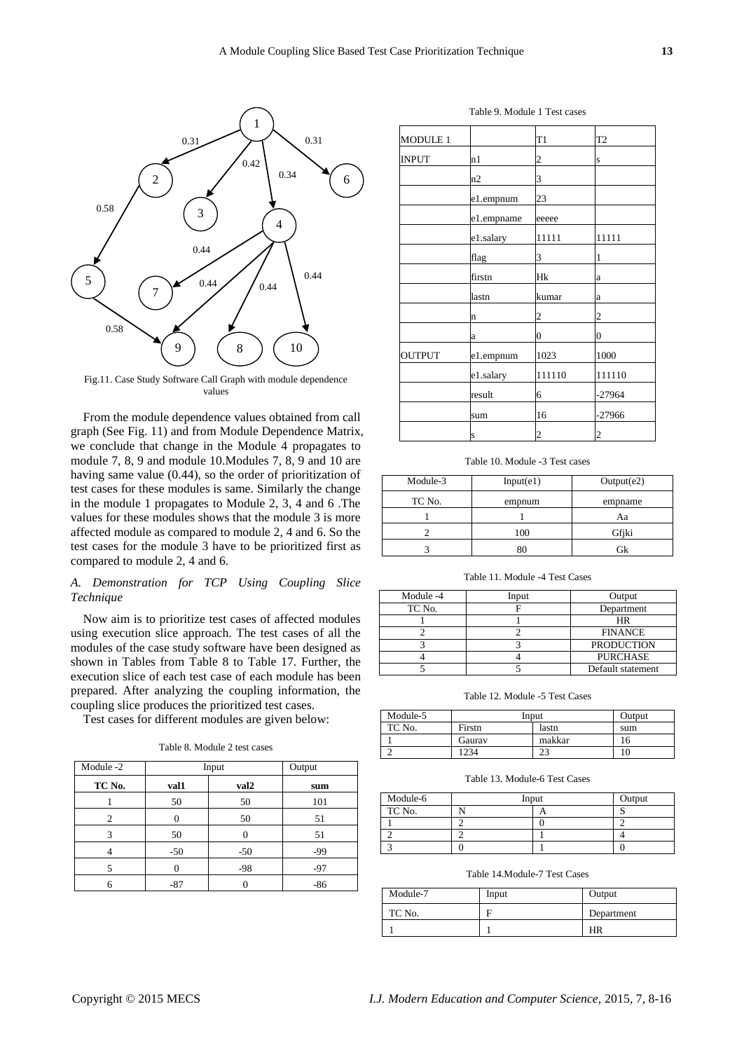

Fig.11. Case Study Software Call Graph with module dependence values

From the module dependence values obtained from call graph (See Fig. 11) and from Module Dependence Matrix, we conclude that change in the Module 4 propagates to module 7, 8, 9 and module 10.Modules 7, 8, 9 and 10 are having same value (0.44), so the order of prioritization of test cases for these modules is same. Similarly the change in the module 1 propagates to Module 2, 3, 4 and 6 .The values for these modules shows that the module 3 is more affected module as compared to module 2, 4 and 6. So the test cases for the module 3 have to be prioritized first as compared to module 2, 4 and 6.

# *A. Demonstration for TCP Using Coupling Slice Technique*

Now aim is to prioritize test cases of affected modules using execution slice approach. The test cases of all the modules of the case study software have been designed as shown in Tables from Table 8 to Table 17. Further, the execution slice of each test case of each module has been prepared. After analyzing the coupling information, the coupling slice produces the prioritized test cases.

Test cases for different modules are given below:

| Table 8. Module 2 test cases |
|------------------------------|
|------------------------------|

| Module -2 | Input | Output           |       |
|-----------|-------|------------------|-------|
| TC No.    | val1  | val <sub>2</sub> | sum   |
|           | 50    | 50               | 101   |
| 2         |       | 50               | 51    |
| 3         | 50    |                  | 51    |
|           | $-50$ | $-50$            | $-99$ |
|           |       | $-98$            | $-97$ |
| 6         | $-87$ |                  | $-86$ |

| <b>MODULE 1</b> |            | T1                      | T <sub>2</sub>   |
|-----------------|------------|-------------------------|------------------|
| <b>INPUT</b>    | n1         | $\overline{\mathbf{c}}$ | S                |
|                 | n2         | 3                       |                  |
|                 | e1.empnum  | 23                      |                  |
|                 | e1.empname | eeeee                   |                  |
|                 | e1.salary  | 11111                   | 11111            |
|                 | flag       | 3                       | 1                |
|                 | firstn     | Hk                      | a                |
|                 | lastn      | kumar                   | a                |
|                 | n          | 2                       | $\overline{c}$   |
|                 | a          | $\overline{0}$          | $\boldsymbol{0}$ |
| <b>OUTPUT</b>   | e1.empnum  | 1023                    | 1000             |
|                 | e1.salary  | 111110                  | 111110           |
|                 | result     | 6                       | $-27964$         |
|                 | sum        | 16                      | $-27966$         |
|                 |            |                         |                  |

Table 9. Module 1 Test cases

Table 10. Module -3 Test cases

s 2 2

| Module-3 | Input(e1) | Output(e2) |  |
|----------|-----------|------------|--|
| TC No.   | empnum    | empname    |  |
|          |           | Aа         |  |
|          | 100       | Gfiki      |  |
|          |           |            |  |

Table 11. Module -4 Test Cases

| Module -4 | Input | Output            |
|-----------|-------|-------------------|
| TC No.    |       | Department        |
|           |       | HR                |
|           |       | <b>FINANCE</b>    |
|           |       | <b>PRODUCTION</b> |
|           |       | <b>PURCHASE</b>   |
|           |       | Default statement |

Table 12. Module -5 Test Cases

| Module-5 | Input  | Output |     |
|----------|--------|--------|-----|
| TC No.   | Firstn | lastn  | sum |
|          | Gauray | makkar |     |
|          | 234    | دے     | 10  |

Table 13. Module-6 Test Cases

| Module-6 | Input |  | Output |
|----------|-------|--|--------|
| TC No.   |       |  |        |
|          |       |  |        |
|          |       |  |        |
|          |       |  |        |

Table 14.Module-7 Test Cases

| Module-7 | Input | Output     |  |
|----------|-------|------------|--|
| TC No.   |       | Department |  |
|          |       | HR         |  |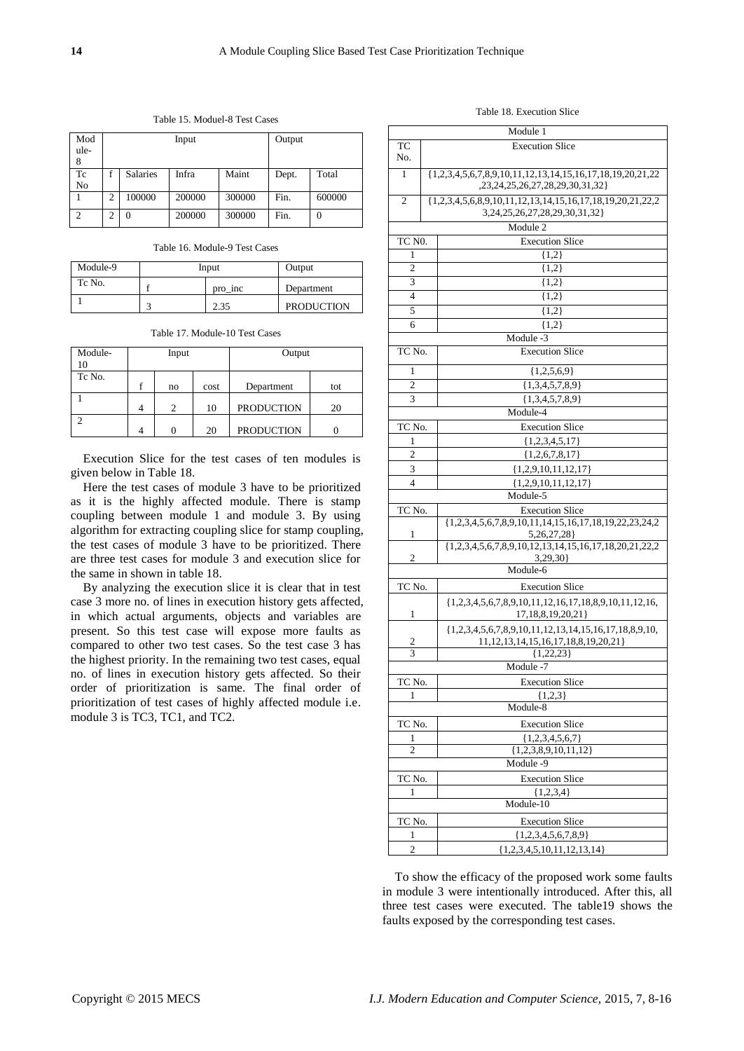| Mod<br>ule-<br>8     | Input          |                 |        | Output |       |        |
|----------------------|----------------|-----------------|--------|--------|-------|--------|
| Tc<br>N <sub>0</sub> |                | <b>Salaries</b> | Infra  | Maint  | Dept. | Total  |
|                      | $\overline{c}$ | 100000          | 200000 | 300000 | Fin.  | 600000 |
| $\overline{c}$       | $\overline{c}$ |                 | 200000 | 300000 | Fin.  | 0      |

Table 15. Moduel-8 Test Cases

Table 16. Module-9 Test Cases

| Module-9 | Input |         | Output            |  |
|----------|-------|---------|-------------------|--|
| Tc No.   |       | pro inc | Department        |  |
|          |       | 2.35    | <b>PRODUCTION</b> |  |

Table 17. Module-10 Test Cases

| Module-<br>10 | Input |               | Output |                   |     |
|---------------|-------|---------------|--------|-------------------|-----|
| Tc No.        |       | no            | cost   | Department        | tot |
|               |       | $\mathcal{D}$ | 10     | <b>PRODUCTION</b> | 20  |
| $\sim$        |       | 0             | 20     | <b>PRODUCTION</b> |     |

Execution Slice for the test cases of ten modules is given below in Table 18.

Here the test cases of module 3 have to be prioritized as it is the highly affected module. There is stamp coupling between module 1 and module 3. By using algorithm for extracting coupling slice for stamp coupling, the test cases of module 3 have to be prioritized. There are three test cases for module 3 and execution slice for the same in shown in table 18.

By analyzing the execution slice it is clear that in test case 3 more no. of lines in execution history gets affected, in which actual arguments, objects and variables are present. So this test case will expose more faults as compared to other two test cases. So the test case 3 has the highest priority. In the remaining two test cases, equal no. of lines in execution history gets affected. So their order of prioritization is same. The final order of prioritization of test cases of highly affected module i.e. module 3 is TC3, TC1, and TC2.

Table 18. Execution Slice

|                        | Module 1                |                                                                                                 |  |  |  |  |
|------------------------|-------------------------|-------------------------------------------------------------------------------------------------|--|--|--|--|
| TC                     | <b>Execution Slice</b>  |                                                                                                 |  |  |  |  |
| No.                    |                         |                                                                                                 |  |  |  |  |
| 1                      |                         | ${1,2,3,4,5,6,7,8,9,10,11,12,13,14,15,16,17,18,19,20,21,22}$<br>,23,24,25,26,27,28,29,30,31,32} |  |  |  |  |
| 2                      |                         | $\{1,2,3,4,5,6,8,9,10,11,12,13,14,15,16,17,18,19,20,21,22,2$                                    |  |  |  |  |
|                        |                         | 3, 24, 25, 26, 27, 28, 29, 30, 31, 32                                                           |  |  |  |  |
|                        |                         | Module 2                                                                                        |  |  |  |  |
| TC NO.                 |                         | <b>Execution Slice</b>                                                                          |  |  |  |  |
| 1                      |                         | ${1,2}$                                                                                         |  |  |  |  |
| 2                      |                         | ${1,2}$                                                                                         |  |  |  |  |
| 3                      |                         | ${1,2}$                                                                                         |  |  |  |  |
| 4                      |                         | (1,2)                                                                                           |  |  |  |  |
| 5<br>6                 |                         | $\{1,2\}$<br>${1,2}$                                                                            |  |  |  |  |
|                        |                         | Module -3                                                                                       |  |  |  |  |
| TC No.                 |                         | <b>Execution Slice</b>                                                                          |  |  |  |  |
| 1                      |                         | ${1,2,5,6,9}$                                                                                   |  |  |  |  |
| $\overline{c}$         |                         | ${1,3,4,5,7,8,9}$                                                                               |  |  |  |  |
| 3                      |                         | ${1,3,4,5,7,8,9}$                                                                               |  |  |  |  |
|                        |                         | Module-4                                                                                        |  |  |  |  |
| TC No.                 |                         | <b>Execution Slice</b>                                                                          |  |  |  |  |
| 1                      |                         | ${1,2,3,4,5,17}$                                                                                |  |  |  |  |
| 2                      |                         | ${1,2,6,7,8,17}$                                                                                |  |  |  |  |
| 3                      | ${1,2,9,10,11,12,17}$   |                                                                                                 |  |  |  |  |
| 4                      | $\{1,2,9,10,11,12,17\}$ |                                                                                                 |  |  |  |  |
|                        | Module-5                |                                                                                                 |  |  |  |  |
| TC No.                 |                         | <b>Execution Slice</b>                                                                          |  |  |  |  |
| 1                      |                         | ${1,2,3,4,5,6,7,8,9,10,11,14,15,16,17,18,19,22,23,24,2}$<br>5,26,27,28                          |  |  |  |  |
|                        |                         | $\{1,2,3,4,5,6,7,8,9,10,12,13,14,15,16,17,18,20,21,22,2$<br>3,29,30                             |  |  |  |  |
| 2<br>Module-6          |                         |                                                                                                 |  |  |  |  |
|                        |                         | <b>Execution Slice</b>                                                                          |  |  |  |  |
| TC No.                 |                         |                                                                                                 |  |  |  |  |
| 1                      |                         | $\{1,2,3,4,5,6,7,8,9,10,11,12,16,17,18,8,9,10,11,12,16,$<br>17, 18, 8, 19, 20, 21 }             |  |  |  |  |
|                        |                         | $\{1,2,3,4,5,6,7,8,9,10,11,12,13,14,15,16,17,18,8,9,10,$                                        |  |  |  |  |
| 2<br>3                 |                         | 11, 12, 13, 14, 15, 16, 17, 18, 8, 19, 20, 21 }<br>${1,22,23}$                                  |  |  |  |  |
|                        |                         | Module -7                                                                                       |  |  |  |  |
| TC No.                 |                         | <b>Execution Slice</b>                                                                          |  |  |  |  |
| 1                      |                         | ${1,2,3}$                                                                                       |  |  |  |  |
|                        |                         | Module-8                                                                                        |  |  |  |  |
| TC No.                 |                         | <b>Execution Slice</b>                                                                          |  |  |  |  |
| 1<br>${1,2,3,4,5,6,7}$ |                         |                                                                                                 |  |  |  |  |
| $\overline{c}$         | ${1,2,3,8,9,10,11,12}$  |                                                                                                 |  |  |  |  |
|                        |                         | Module -9                                                                                       |  |  |  |  |
| TC No.                 |                         | <b>Execution Slice</b>                                                                          |  |  |  |  |
| 1                      |                         | ${1,2,3,4}$                                                                                     |  |  |  |  |
|                        |                         | Module-10                                                                                       |  |  |  |  |
| TC No.                 |                         | <b>Execution Slice</b>                                                                          |  |  |  |  |
| 1                      |                         | ${1,2,3,4,5,6,7,8,9}$                                                                           |  |  |  |  |
| 2                      |                         | ${1,2,3,4,5,10,11,12,13,14}$                                                                    |  |  |  |  |

To show the efficacy of the proposed work some faults in module 3 were intentionally introduced. After this, all three test cases were executed. The table19 shows the faults exposed by the corresponding test cases.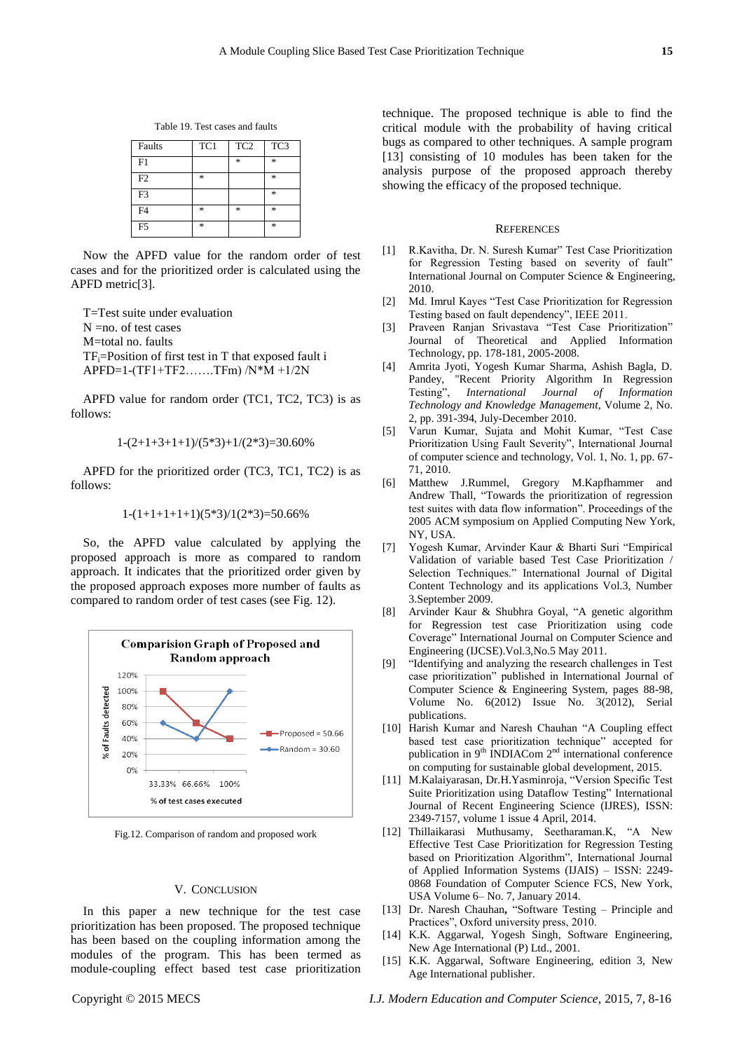Table 19. Test cases and faults

| Faults         | TC1    | TC <sub>2</sub> | TC3    |
|----------------|--------|-----------------|--------|
| F1             |        | $\ast$          | $\ast$ |
| F2             | $\ast$ |                 | $\ast$ |
| F <sub>3</sub> |        |                 | $\ast$ |
| F <sub>4</sub> | $\ast$ | $\ast$          | $\ast$ |
| F <sub>5</sub> | *      |                 | *      |

Now the APFD value for the random order of test cases and for the prioritized order is calculated using the APFD metric[3].

T=Test suite under evaluation N =no. of test cases M=total no. faults  $TF_i = Position$  of first test in T that exposed fault i APFD=1-(TF1+TF2…….TFm) /N\*M +1/2N

APFD value for random order (TC1, TC2, TC3) is as follows:

$$
1-(2+1+3+1+1)/(5*3)+1/(2*3)=30.60%
$$

APFD for the prioritized order (TC3, TC1, TC2) is as follows:

$$
1-(1+1+1+1+1)(5*3)/1(2*3)=50.66\%
$$

So, the APFD value calculated by applying the proposed approach is more as compared to random approach. It indicates that the prioritized order given by the proposed approach exposes more number of faults as compared to random order of test cases (see Fig. 12).



Fig.12. Comparison of random and proposed work

#### V. CONCLUSION

In this paper a new technique for the test case prioritization has been proposed. The proposed technique has been based on the coupling information among the modules of the program. This has been termed as module-coupling effect based test case prioritization

technique. The proposed technique is able to find the critical module with the probability of having critical bugs as compared to other techniques. A sample program [13] consisting of 10 modules has been taken for the analysis purpose of the proposed approach thereby showing the efficacy of the proposed technique.

#### **REFERENCES**

- [1] R.Kavitha, Dr. N. Suresh Kumar" Test Case Prioritization for Regression Testing based on severity of fault" International Journal on Computer Science & Engineering, 2010.
- [2] Md. Imrul Kayes "Test Case Prioritization for Regression Testing based on fault dependency", IEEE 2011.
- [3] Praveen Ranjan Srivastava "Test Case Prioritization" Journal of Theoretical and Applied Information Technology, pp. 178-181, 2005-2008.
- [4] Amrita Jyoti, Yogesh Kumar Sharma, Ashish Bagla, D. Pandey, "Recent Priority Algorithm In Regression Testing‖, *International Journal of Information Technology and Knowledge Management*, Volume 2, No. 2, pp. 391-394, July-December 2010.
- [5] Varun Kumar, Sujata and Mohit Kumar, "Test Case Prioritization Using Fault Severity", International Journal of computer science and technology, Vol. 1, No. 1, pp. 67- 71, 2010.
- [6] Matthew J.Rummel, Gregory M.Kapfhammer and Andrew Thall, "Towards the prioritization of regression test suites with data flow information". Proceedings of the 2005 ACM symposium on Applied Computing New York, NY, USA.
- [7] Yogesh Kumar, Arvinder Kaur & Bharti Suri "Empirical Validation of variable based Test Case Prioritization / Selection Techniques." International Journal of Digital Content Technology and its applications Vol.3, Number 3.September 2009.
- [8] Arvinder Kaur & Shubhra Goyal, "A genetic algorithm for Regression test case Prioritization using code Coverage" International Journal on Computer Science and Engineering (IJCSE).Vol.3,No.5 May 2011.
- [9] "Identifying and analyzing the research challenges in Test case prioritization" published in International Journal of Computer Science & Engineering System, pages 88-98, Volume No. 6(2012) Issue No. 3(2012), Serial publications.
- [10] Harish Kumar and Naresh Chauhan "A Coupling effect based test case prioritization technique" accepted for publication in 9<sup>th</sup> INDIACom 2<sup>nd</sup> international conference on computing for sustainable global development, 2015.
- [11] M.Kalaiyarasan, Dr.H.Yasminroja, "Version Specific Test Suite Prioritization using Dataflow Testing" International Journal of Recent Engineering Science (IJRES), ISSN: 2349-7157, volume 1 issue 4 April, 2014.
- [12] Thillaikarasi Muthusamy, Seetharaman.K, "A New Effective Test Case Prioritization for Regression Testing based on Prioritization Algorithm", International Journal of Applied Information Systems (IJAIS) – ISSN: 2249- 0868 Foundation of Computer Science FCS, New York, USA Volume 6– No. 7, January 2014.
- [13] Dr. Naresh Chauhan, "Software Testing Principle and Practices", Oxford university press, 2010.
- [14] K.K. Aggarwal, Yogesh Singh, Software Engineering, New Age International (P) Ltd., 2001.
- [15] K.K. Aggarwal, Software Engineering, edition 3, New Age International publisher.